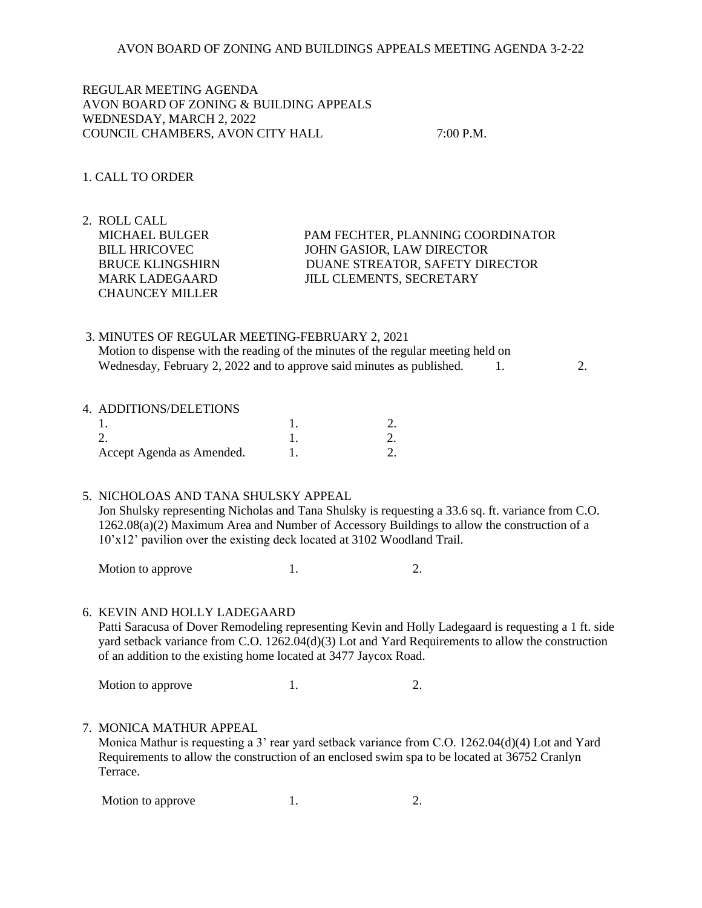REGULAR MEETING AGENDA AVON BOARD OF ZONING & BUILDING APPEALS WEDNESDAY, MARCH 2, 2022 COUNCIL CHAMBERS, AVON CITY HALL 7:00 P.M.

## 1. CALL TO ORDER

2. ROLL CALL CHAUNCEY MILLER

 MICHAEL BULGER PAM FECHTER, PLANNING COORDINATOR BILL HRICOVEC JOHN GASIOR, LAW DIRECTOR BRUCE KLINGSHIRN DUANE STREATOR, SAFETY DIRECTOR MARK LADEGAARD JILL CLEMENTS, SECRETARY

# 3. MINUTES OF REGULAR MEETING-FEBRUARY 2, 2021 Motion to dispense with the reading of the minutes of the regular meeting held on Wednesday, February 2, 2022 and to approve said minutes as published.  $1.$  2.

#### 4. ADDITIONS/DELETIONS

| Accept Agenda as Amended. |  |
|---------------------------|--|

#### 5. NICHOLOAS AND TANA SHULSKY APPEAL

 Jon Shulsky representing Nicholas and Tana Shulsky is requesting a 33.6 sq. ft. variance from C.O. 1262.08(a)(2) Maximum Area and Number of Accessory Buildings to allow the construction of a 10'x12' pavilion over the existing deck located at 3102 Woodland Trail.

Motion to approve 1. 2.

## 6. KEVIN AND HOLLY LADEGAARD

 Patti Saracusa of Dover Remodeling representing Kevin and Holly Ladegaard is requesting a 1 ft. side yard setback variance from C.O. 1262.04(d)(3) Lot and Yard Requirements to allow the construction of an addition to the existing home located at 3477 Jaycox Road.

Motion to approve 1. 2.

## 7. MONICA MATHUR APPEAL

 Monica Mathur is requesting a 3' rear yard setback variance from C.O. 1262.04(d)(4) Lot and Yard Requirements to allow the construction of an enclosed swim spa to be located at 36752 Cranlyn Terrace.

Motion to approve 1. 2.